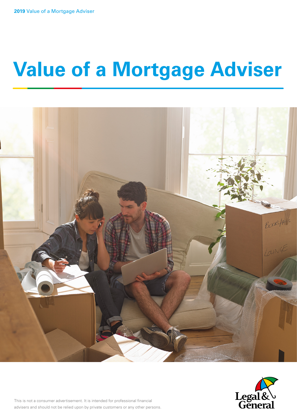# **Value of a Mortgage Adviser**





This is not a consumer advertisement. It is intended for professional financial advisers and should not be relied upon by private customers or any other persons.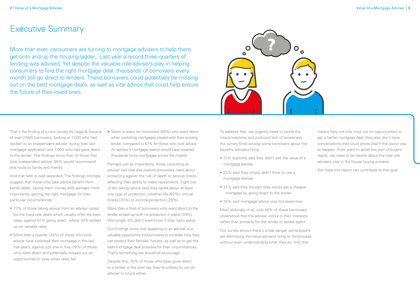More than ever, consumers are turning to mortgage advisers to help them get onto and up the housing ladder. Last year a record three-quarters of lending was advised. Yet despite the valuable role advisers play in helping consumers to find the right mortgage deal, thousands of borrowers every month still go direct to lenders. These borrowers could potentially be missing out on the best mortgage deals, as well as vital advice that could help ensure the future of their loved ones.



That's the finding of a new survey by Legal & General of over 2,000 borrowers, looking at 1,000 who had spoken to an independent adviser during their last mortgage application and 1,000 who had gone direct to the lender. The findings show that, of those that took independent advice, 95% would recommend that route to family and friends.

• Seven in every ten borrowers (69%) who went direct when switching mortgages stayed with their existing lender, compared to 57% for those who took advice. An adviser's mortgage search would have covered thousands more mortgages across the market.

And that faith is well rewarded. The findings strongly suggest that those who take advice benefit from better deals, saving them money and, perhaps more importantly, getting the right mortgage for their particular circumstances:

- 77% of those taking advice from an adviser opted for the fixed rate deals which usually offer the best rates, against 61% going direct, where 34% ended up on variable rates
- More than a quarter (29%) of those who took advice have switched their mortgage in the last five years, against just one in five (19%) of those who went direct and potentially missed out on opportunities to save when rates fell

Perhaps just as importantly, those consulting an adviser had vital discussions borrowers need about protecting against the risk of death or serious illness affecting their ability to make repayments. Eight out of ten taking advice said they spoke about at least one type of protection, whether life (62%), critical illness (33%) or income protection (29%).

More than a third of borrowers who went direct to the lender ended up with no protection in place (34%). Worryingly, 5% didn't even know if they had a policy.

Our findings show that speaking to an adviser is a valuable opportunity for borrowers to consider how they can protect their families' futures, as well as to get the best mortgage deal possible for their circumstances. That's something we should all encourage.

Despite this, 70% of those who have gone direct to a lender in the past say they're unlikely to use an adviser in future either.

### Executive Summary

To address that, we urgently need to tackle the misconceptions and profound lack of awareness the survey finds among some borrowers about the benefits advisers bring:

- 31% explicitly said they didn't see the value of a mortgage adviser
- 22% said they simply didn't think to use a mortgage adviser
- 21% said they thought they would get a cheaper mortgage by going direct to the lender
- 15% said mortgage advice was too expensive.

Most strikingly of all, only 40% of these borrowers understood that the adviser works in their interests, rather than primarily for the lender or estate agent.

Our survey shows there's a real danger some buyers are dismissing the value advisers bring to the process without even understanding what they do. And that

means they not only miss out on opportunities to get a better mortgage deal; they also don't have conversations that could prove vital if the worst was to happen. If we want to avoid this sort of buyers' regret, we need to be clearer about the vital role advisers play in the house buying process.

We hope this report can contribute to that goal.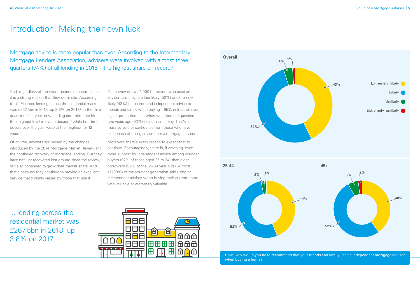## Introduction: Making their own luck

Mortgage advice is more popular than ever. According to the Intermediary Mortgage Lenders Association, advisers were involved with almost three quarters (74%) of all lending in 2018 – the highest share on record.<sup>1</sup>

> How likely would you be to recommend that your friends and family use an independent mortgage adviser when buying a home?

... lending across the residential market was £267.5bn in 2018, up 3.8% on 2017.



And, regardless of the wider economic uncertainties, it is a strong market that they dominate: According to UK Finance, lending across the residential market was £267.5bn in 2018, up 3.8% on 2017.<sup>2</sup> In the third quarter of last year, new lending commitments hit their highest level in over a decade,<sup>3</sup> while first-time buyers over the year were at their highest for 12 years.4

Of course, advisers are helped by the changes introduced by the 2014 Mortgage Market Review and the continued recovery of mortgage lending. But they have not just recovered lost ground since the review, but also continued to grow their market share. And that's because they continue to provide an excellent service that's highly valued by those that use it.

Our survey of over 1,000 borrowers who used an adviser said they're either likely (52%) or extremely likely (43%) to recommend independent advice to friends and family when buying – 95% in total, an even higher proportion than when we asked the question two years ago (93%) in a similar survey. That's a massive vote of confidence from those who have experience of taking advice from a mortgage adviser.

Moreover, there's every reason to expect that to continue. Encouragingly, there is, if anything, even more support for independent advice among younger buyers (97% of those aged 25 to 34) than older borrowers (92% of the 55-64 year olds). Almost all (98%) of the younger generation said using an independent adviser when buying their current home was valuable or extremely valuable.

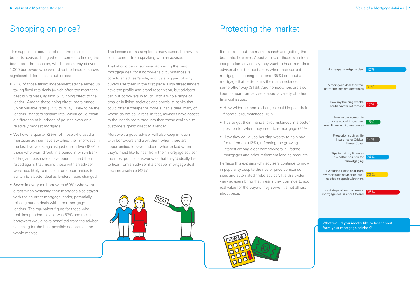This support, of course, reflects the practical benefits advisers bring when it comes to finding the best deal. The research, which also surveyed over 1,000 borrowers who went direct to lenders, shows significant differences in outcomes:

- 77% of those taking independent advice ended up taking fixed rate deals (which often top mortgage best buy tables), against 61% going direct to the lender. Among those going direct, more ended up on variable rates (34% to 20%), likely to be the lenders' standard variable rate, which could mean a difference of hundreds of pounds even on a relatively modest mortgage.
- Well over a quarter (29%) of those who used a mortgage adviser have switched their mortgage in the last five years, against just one in five (19%) of those who went direct. In a period in which Bank of England base rates have been cut and then raised again, that means those with an adviser were less likely to miss out on opportunities to switch to a better deal as lenders' rates changed.
- Seven in every ten borrowers (69%) who went direct when switching their mortgage also stayed with their current mortgage lender, potentially missing out on deals with other mortgage lenders. The equivalent figure for those who took independent advice was 57% and these borrowers would have benefited from the adviser searching for the best possible deal across the whole market

It's not all about the market search and getting the best rate, however. About a third of those who took independent advice say they want to hear from their adviser about the next steps when their current mortgage is coming to an end (35%) or about a mortgage that better suits their circumstances in some other way (31%). And homeowners are also keen to hear from advisers about a variety of other financial issues:

- How wider economic changes could impact their financial circumstances (15%)
- Tips to get their financial circumstances in a better position for when they need to remortgage (24%)
- How they could use housing wealth to help pay for retirement (12%), reflecting the growing interest among older homeowners in lifetime mortgages and other retirement lending products.

Perhaps this explains why advisers continue to grow in popularity despite the rise of price comparison sites and automated "robo advice". It's this wider view advisers bring that means they continue to add real value for the buyers they serve. It's not all just about price.



The lesson seems simple: In many cases, borrowers could benefit from speaking with an adviser.

That should be no surprise: Achieving the best mortgage deal for a borrower's circumstances is core to an adviser's role, and it's a big part of why buyers use them in the first place. High street lenders have the profile and brand recognition, but advisers can put borrowers in touch with a whole range of smaller building societies and specialist banks that could offer a cheaper or more suitable deal, many of whom do not sell direct. In fact, advisers have access to thousands more products than those available to customers going direct to a lender.

Moreover, a good adviser will also keep in touch with borrowers and alert them when there are opportunities to save. Indeed, when asked when they'd most like to hear from their mortgage adviser, the most popular answer was that they'd ideally like to hear from an adviser if a cheaper mortgage deal became available (42%).



### Shopping on price? The market of the market of the market protecting the market



What would you ideally like to hear about from your mortgage adviser?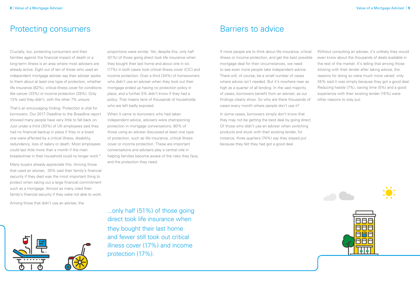### Protecting consumers **Barriers** Barriers to advice



That's an encouraging finding. Protection is vital for borrowers. Our 2017 Deadline to the Breadline report showed many people have very little to fall back on. Just under a third (30%) of UK employees said they had no financial backup in place if they or a loved one were affected by a critical illness, disability, redundancy, loss of salary or death. Most employees could last little more than a month if the main breadwinner in their household could no longer work.<sup>6</sup>

Crucially, too, protecting consumers and their families against the financial impact of death or a long-term illness is an area where most advisers are already active. Eight out of ten of those who used an independent mortgage adviser say their adviser spoke to them about at least one type of protection, whether life insurance (62%), critical illness cover for conditions like cancer (33%) or income protection (29%). Only 13% said they didn't, with the other 7% unsure.

Many buyers already appreciate this. Among those that used an adviser, 35% said their family's financial security if they died was the most important thing to protect when taking out a large financial commitment such as a mortgage. Almost as many cited their family's financial security if they were not able to work.

Among those that didn't use an adviser, the



If more people are to think about life insurance, critical illness or income protection, and get the best possible mortgage deal for their circumstances, we need to see even more people take independent advice. There will, of course, be a small number of cases where advice isn't needed. But it's nowhere near as high as a quarter of all lending. In the vast majority of cases, borrowers benefit from an adviser, as our findings clearly show. So why are there thousands of cases every month where people don't use it? Without consulting an adviser, it's unlikely they would even know about the thousands of deals available in the rest of the market. It's telling that among those sticking with their lender after taking advice, the reasons for doing so were much more varied: only 45% said it was simply because they got a good deal. Reducing hassle (7%), saving time (5%) and a good experience with their existing lender (15%) were other reasons to stay put.

In some cases, borrowers simply don't know that they may not be getting the best deal by going direct. Of those who didn't use an adviser when switching products and stuck with their existing lender, for instance, three quarters (74%) say they stayed put because they felt they had got a good deal.

proportions were similar. Yet, despite this, only half (51%) of those going direct took life insurance when they bought their last home and about one in six (17%) in both cases took critical illness cover (CIC) and income protection. Over a third (34%) of homeowners who didn't use an adviser when they took out their mortgage ended up having no protection policy in place, and a further 5% didn't know if they had a policy. That means tens of thousands of households who are left badly exposed.

When it came to borrowers who had taken independent advice, advisers were championing protection in mortgage conversations. 80% of those using an adviser discussed at least one type of protection, such as life insurance, critical illness cover or income protection. These are important conversations and advisers play a central role in helping families become aware of the risks they face, and the protection they need.

...only half (51%) of those going direct took life insurance when they bought their last home and fewer still took out critical illness cover (17%) and income protection (17%).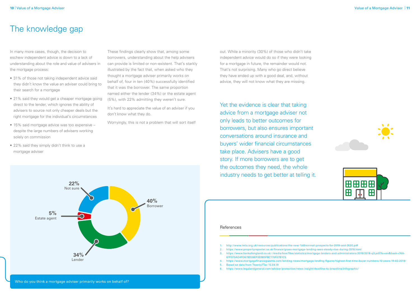#### **10** | Value of a Mortgage Adviser Value of a Mortgage Adviser | **11**





In many more cases, though, the decision to eschew independent advice is down to a lack of understanding about the role and value of advisers in the mortgage process:

- 31% of those not taking independent advice said they didn't know the value an adviser could bring to their search for a mortgage
- 21% said they would get a cheaper mortgage going direct to the lender, which ignores the ability of advisers to source not only cheaper deals but the right mortgage for the individual's circumstances
- 15% said mortgage advice was too expensive despite the large numbers of advisers working solely on commission
- 22% said they simply didn't think to use a mortgage adviser

It's hard to appreciate the value of an adviser if you don't know what they do.

These findings clearly show that, among some borrowers, understanding about the help advisers can provide is limited or non-existent. That's starkly illustrated by the fact that, when asked who they thought a mortgage adviser primarily works on behalf of, four in ten (40%) successfully identified that it was the borrower. The same proportion named either the lender (34%) or the estate agent (5%), with 22% admitting they weren't sure.

Worryingly, this is not a problem that will sort itself

### The knowledge gap

#### References

Yet the evidence is clear that taking advice from a mortgage adviser not only leads to better outcomes for borrowers, but also ensures important conversations around insurance and buyers' wider financial circumstances take place. Advisers have a good story. If more borrowers are to get the outcomes they need, the whole industry needs to get better at telling it.

3. https://www.bankofengland.co.uk/-/media/boe/files/statistics/mortgage-lenders-and-administrators/2018/2018-q3.pdf?la=en&hash=74A-

- 1. http://www.imla.org.uk/resources/publications/the-new-%60normal-prospects-for-2019-and-2020.pdf
- 2. https://www.propertyreporter.co.uk/finance/gross-mortgage-lending-sees-steady-rise-during-2018.html
- 67F373AD4FD678D26EF3E9B5FBC170F07B1C5
- - 5. Based on data from Twenty7Tec 15.04.19
	- 6. https://www.legalandgeneral.com/adviser/protection/news-insight/deadline-to-breadline/infographic/

4. https://www.mortgagefinancegazette.com/lending-news/mortgage-lending-figures/highest-first-time-buyer-numbers-12-years-19-02-2019/



out. While a minority (30%) of those who didn't take independent advice would do so if they were looking for a mortgage in future, the remainder would not. That's not surprising. Many who go direct believe they have ended up with a good deal, and, without advice, they will not know what they are missing.

Who do you think a mortgage adviser primarily works on behalf of?